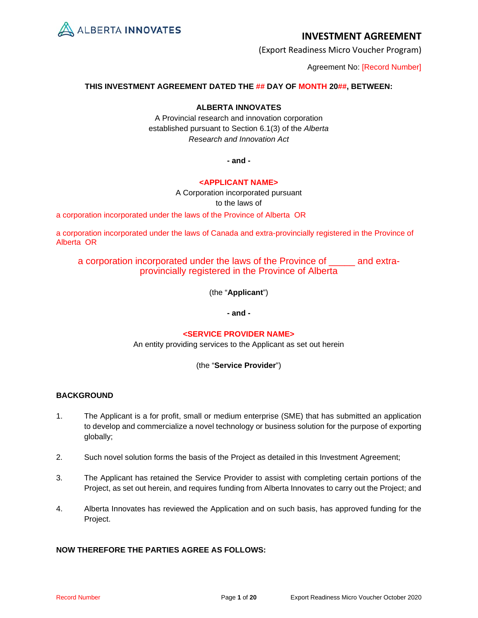

(Export Readiness Micro Voucher Program)

Agreement No: [Record Number]

## **THIS INVESTMENT AGREEMENT DATED THE ## DAY OF MONTH 20##, BETWEEN:**

## **ALBERTA INNOVATES**

A Provincial research and innovation corporation established pursuant to Section 6.1(3) of the *Alberta Research and Innovation Act*

**- and -**

## **<APPLICANT NAME>**

A Corporation incorporated pursuant to the laws of

a corporation incorporated under the laws of the Province of Alberta OR

a corporation incorporated under the laws of Canada and extra-provincially registered in the Province of Alberta OR

## a corporation incorporated under the laws of the Province of \_\_\_\_\_ and extraprovincially registered in the Province of Alberta

(the "**Applicant**")

**- and -**

## **<SERVICE PROVIDER NAME>**

An entity providing services to the Applicant as set out herein

## (the "**Service Provider**")

## **BACKGROUND**

- 1. The Applicant is a for profit, small or medium enterprise (SME) that has submitted an application to develop and commercialize a novel technology or business solution for the purpose of exporting globally;
- 2. Such novel solution forms the basis of the Project as detailed in this Investment Agreement;
- 3. The Applicant has retained the Service Provider to assist with completing certain portions of the Project, as set out herein, and requires funding from Alberta Innovates to carry out the Project; and
- 4. Alberta Innovates has reviewed the Application and on such basis, has approved funding for the Project.

## **NOW THEREFORE THE PARTIES AGREE AS FOLLOWS:**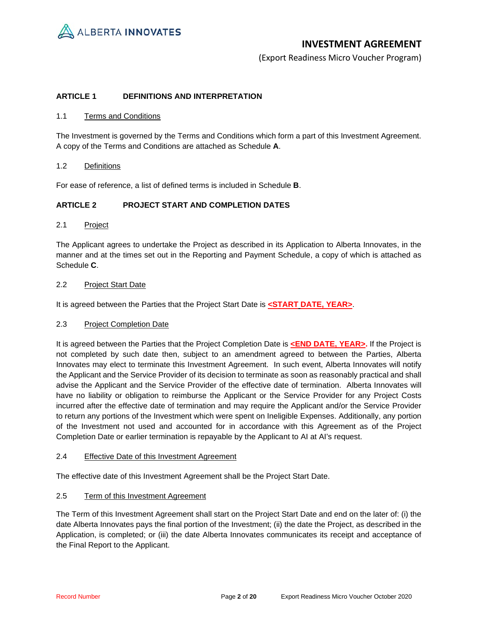

(Export Readiness Micro Voucher Program)

### **ARTICLE 1 DEFINITIONS AND INTERPRETATION**

### 1.1 Terms and Conditions

The Investment is governed by the Terms and Conditions which form a part of this Investment Agreement. A copy of the Terms and Conditions are attached as Schedule **A**.

### 1.2 Definitions

For ease of reference, a list of defined terms is included in Schedule **B**.

### **ARTICLE 2 PROJECT START AND COMPLETION DATES**

## 2.1 Project

The Applicant agrees to undertake the Project as described in its Application to Alberta Innovates, in the manner and at the times set out in the Reporting and Payment Schedule, a copy of which is attached as Schedule **C**.

### 2.2 Project Start Date

It is agreed between the Parties that the Project Start Date is **<START DATE, YEAR>**.

### 2.3 Project Completion Date

It is agreed between the Parties that the Project Completion Date is **<END DATE, YEAR>**. If the Project is not completed by such date then, subject to an amendment agreed to between the Parties, Alberta Innovates may elect to terminate this Investment Agreement. In such event, Alberta Innovates will notify the Applicant and the Service Provider of its decision to terminate as soon as reasonably practical and shall advise the Applicant and the Service Provider of the effective date of termination. Alberta Innovates will have no liability or obligation to reimburse the Applicant or the Service Provider for any Project Costs incurred after the effective date of termination and may require the Applicant and/or the Service Provider to return any portions of the Investment which were spent on Ineligible Expenses. Additionally, any portion of the Investment not used and accounted for in accordance with this Agreement as of the Project Completion Date or earlier termination is repayable by the Applicant to AI at AI's request.

### 2.4 Effective Date of this Investment Agreement

The effective date of this Investment Agreement shall be the Project Start Date.

### 2.5 Term of this Investment Agreement

The Term of this Investment Agreement shall start on the Project Start Date and end on the later of: (i) the date Alberta Innovates pays the final portion of the Investment; (ii) the date the Project, as described in the Application, is completed; or (iii) the date Alberta Innovates communicates its receipt and acceptance of the Final Report to the Applicant.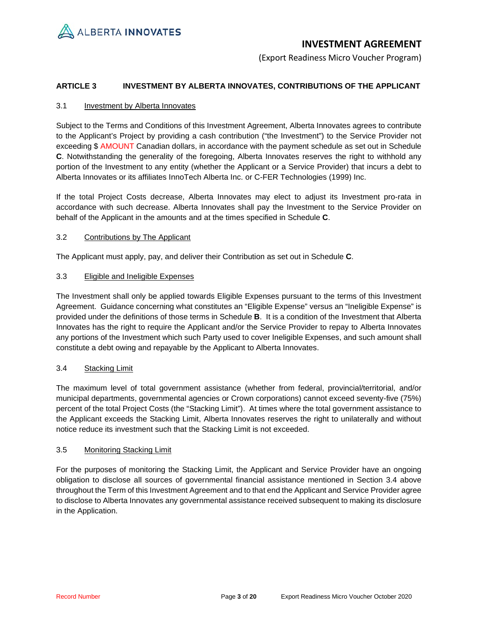

(Export Readiness Micro Voucher Program)

## **ARTICLE 3 INVESTMENT BY ALBERTA INNOVATES, CONTRIBUTIONS OF THE APPLICANT**

## 3.1 Investment by Alberta Innovates

Subject to the Terms and Conditions of this Investment Agreement, Alberta Innovates agrees to contribute to the Applicant's Project by providing a cash contribution ("the Investment") to the Service Provider not exceeding \$ AMOUNT Canadian dollars, in accordance with the payment schedule as set out in Schedule **C**. Notwithstanding the generality of the foregoing, Alberta Innovates reserves the right to withhold any portion of the Investment to any entity (whether the Applicant or a Service Provider) that incurs a debt to Alberta Innovates or its affiliates InnoTech Alberta Inc. or C-FER Technologies (1999) Inc.

If the total Project Costs decrease, Alberta Innovates may elect to adjust its Investment pro-rata in accordance with such decrease. Alberta Innovates shall pay the Investment to the Service Provider on behalf of the Applicant in the amounts and at the times specified in Schedule **C**.

## 3.2 Contributions by The Applicant

The Applicant must apply, pay, and deliver their Contribution as set out in Schedule **C**.

### 3.3 Eligible and Ineligible Expenses

The Investment shall only be applied towards Eligible Expenses pursuant to the terms of this Investment Agreement. Guidance concerning what constitutes an "Eligible Expense" versus an "Ineligible Expense" is provided under the definitions of those terms in Schedule **B**. It is a condition of the Investment that Alberta Innovates has the right to require the Applicant and/or the Service Provider to repay to Alberta Innovates any portions of the Investment which such Party used to cover Ineligible Expenses, and such amount shall constitute a debt owing and repayable by the Applicant to Alberta Innovates.

## 3.4 Stacking Limit

The maximum level of total government assistance (whether from federal, provincial/territorial, and/or municipal departments, governmental agencies or Crown corporations) cannot exceed seventy-five (75%) percent of the total Project Costs (the "Stacking Limit"). At times where the total government assistance to the Applicant exceeds the Stacking Limit, Alberta Innovates reserves the right to unilaterally and without notice reduce its investment such that the Stacking Limit is not exceeded.

## 3.5 Monitoring Stacking Limit

For the purposes of monitoring the Stacking Limit, the Applicant and Service Provider have an ongoing obligation to disclose all sources of governmental financial assistance mentioned in Section 3.4 above throughout the Term of this Investment Agreement and to that end the Applicant and Service Provider agree to disclose to Alberta Innovates any governmental assistance received subsequent to making its disclosure in the Application.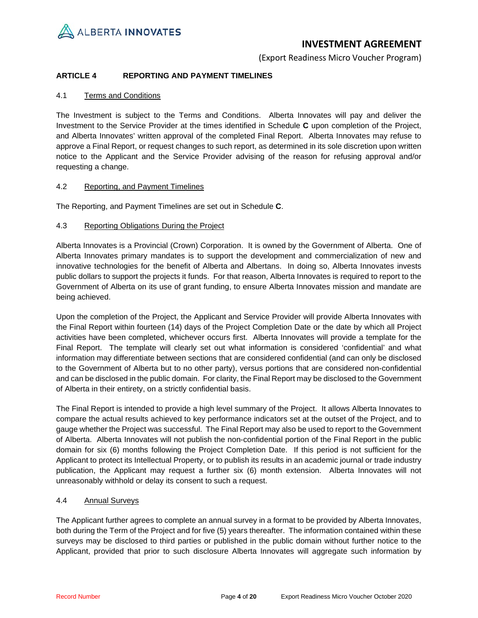

(Export Readiness Micro Voucher Program)

## **ARTICLE 4 REPORTING AND PAYMENT TIMELINES**

## 4.1 Terms and Conditions

The Investment is subject to the Terms and Conditions. Alberta Innovates will pay and deliver the Investment to the Service Provider at the times identified in Schedule **C** upon completion of the Project, and Alberta Innovates' written approval of the completed Final Report. Alberta Innovates may refuse to approve a Final Report, or request changes to such report, as determined in its sole discretion upon written notice to the Applicant and the Service Provider advising of the reason for refusing approval and/or requesting a change.

## 4.2 Reporting, and Payment Timelines

The Reporting, and Payment Timelines are set out in Schedule **C**.

## 4.3 Reporting Obligations During the Project

Alberta Innovates is a Provincial (Crown) Corporation. It is owned by the Government of Alberta. One of Alberta Innovates primary mandates is to support the development and commercialization of new and innovative technologies for the benefit of Alberta and Albertans. In doing so, Alberta Innovates invests public dollars to support the projects it funds. For that reason, Alberta Innovates is required to report to the Government of Alberta on its use of grant funding, to ensure Alberta Innovates mission and mandate are being achieved.

Upon the completion of the Project, the Applicant and Service Provider will provide Alberta Innovates with the Final Report within fourteen (14) days of the Project Completion Date or the date by which all Project activities have been completed, whichever occurs first. Alberta Innovates will provide a template for the Final Report. The template will clearly set out what information is considered 'confidential' and what information may differentiate between sections that are considered confidential (and can only be disclosed to the Government of Alberta but to no other party), versus portions that are considered non-confidential and can be disclosed in the public domain. For clarity, the Final Report may be disclosed to the Government of Alberta in their entirety, on a strictly confidential basis.

The Final Report is intended to provide a high level summary of the Project. It allows Alberta Innovates to compare the actual results achieved to key performance indicators set at the outset of the Project, and to gauge whether the Project was successful. The Final Report may also be used to report to the Government of Alberta. Alberta Innovates will not publish the non-confidential portion of the Final Report in the public domain for six (6) months following the Project Completion Date. If this period is not sufficient for the Applicant to protect its Intellectual Property, or to publish its results in an academic journal or trade industry publication, the Applicant may request a further six (6) month extension. Alberta Innovates will not unreasonably withhold or delay its consent to such a request.

## 4.4 Annual Surveys

The Applicant further agrees to complete an annual survey in a format to be provided by Alberta Innovates, both during the Term of the Project and for five (5) years thereafter. The information contained within these surveys may be disclosed to third parties or published in the public domain without further notice to the Applicant, provided that prior to such disclosure Alberta Innovates will aggregate such information by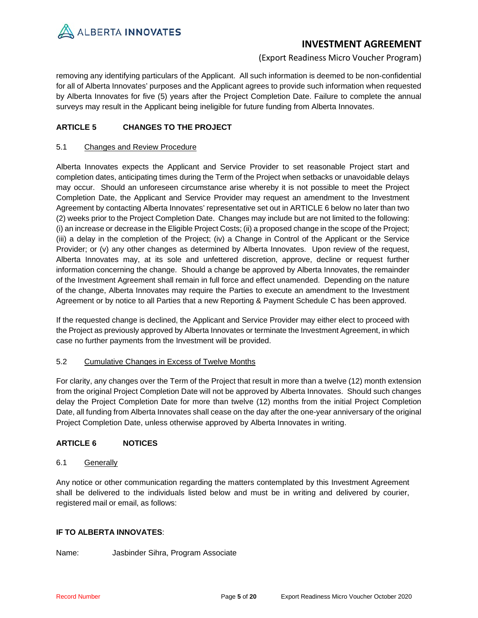

## (Export Readiness Micro Voucher Program)

removing any identifying particulars of the Applicant. All such information is deemed to be non-confidential for all of Alberta Innovates' purposes and the Applicant agrees to provide such information when requested by Alberta Innovates for five (5) years after the Project Completion Date. Failure to complete the annual surveys may result in the Applicant being ineligible for future funding from Alberta Innovates.

## **ARTICLE 5 CHANGES TO THE PROJECT**

## 5.1 Changes and Review Procedure

Alberta Innovates expects the Applicant and Service Provider to set reasonable Project start and completion dates, anticipating times during the Term of the Project when setbacks or unavoidable delays may occur. Should an unforeseen circumstance arise whereby it is not possible to meet the Project Completion Date, the Applicant and Service Provider may request an amendment to the Investment Agreement by contacting Alberta Innovates' representative set out i[n ARTICLE 6](#page-4-0) below no later than two (2) weeks prior to the Project Completion Date. Changes may include but are not limited to the following: (i) an increase or decrease in the Eligible Project Costs; (ii) a proposed change in the scope of the Project; (iii) a delay in the completion of the Project; (iv) a Change in Control of the Applicant or the Service Provider; or (v) any other changes as determined by Alberta Innovates. Upon review of the request, Alberta Innovates may, at its sole and unfettered discretion, approve, decline or request further information concerning the change. Should a change be approved by Alberta Innovates, the remainder of the Investment Agreement shall remain in full force and effect unamended. Depending on the nature of the change, Alberta Innovates may require the Parties to execute an amendment to the Investment Agreement or by notice to all Parties that a new Reporting & Payment Schedule C has been approved.

If the requested change is declined, the Applicant and Service Provider may either elect to proceed with the Project as previously approved by Alberta Innovates or terminate the Investment Agreement, in which case no further payments from the Investment will be provided.

## 5.2 Cumulative Changes in Excess of Twelve Months

For clarity, any changes over the Term of the Project that result in more than a twelve (12) month extension from the original Project Completion Date will not be approved by Alberta Innovates. Should such changes delay the Project Completion Date for more than twelve (12) months from the initial Project Completion Date, all funding from Alberta Innovates shall cease on the day after the one-year anniversary of the original Project Completion Date, unless otherwise approved by Alberta Innovates in writing.

## <span id="page-4-0"></span>**ARTICLE 6 NOTICES**

## 6.1 Generally

Any notice or other communication regarding the matters contemplated by this Investment Agreement shall be delivered to the individuals listed below and must be in writing and delivered by courier, registered mail or email, as follows:

## **IF TO ALBERTA INNOVATES**:

Name: Jasbinder Sihra, Program Associate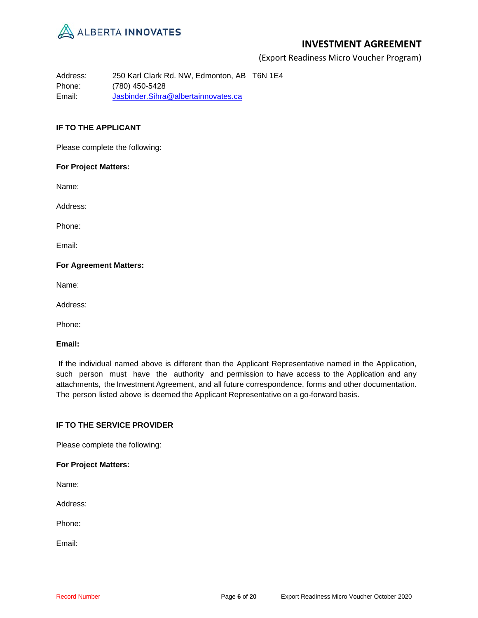

(Export Readiness Micro Voucher Program)

Address: 250 Karl Clark Rd. NW, Edmonton, AB T6N 1E4 Phone: (780) 450-5428 Email: Jasbinder.Sihra@albertainnovates.ca

## **IF TO THE APPLICANT**

Please complete the following:

### **For Project Matters:**

Name:

Address:

Phone:

Email:

### **For Agreement Matters:**

Name:

Address:

Phone:

### **Email:**

If the individual named above is different than the Applicant Representative named in the Application, such person must have the authority and permission to have access to the Application and any attachments, the Investment Agreement, and all future correspondence, forms and other documentation. The person listed above is deemed the Applicant Representative on a go-forward basis.

## **IF TO THE SERVICE PROVIDER**

Please complete the following:

**For Project Matters:**

Name:

Address:

Phone:

Email: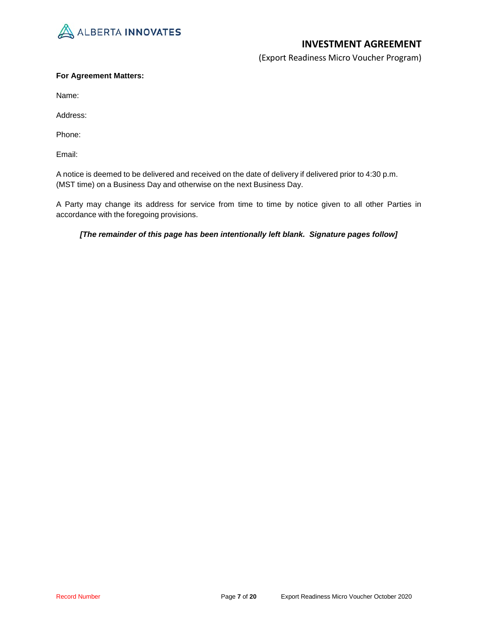

(Export Readiness Micro Voucher Program)

## **For Agreement Matters:**

Name:

Address:

Phone:

Email:

A notice is deemed to be delivered and received on the date of delivery if delivered prior to 4:30 p.m. (MST time) on a Business Day and otherwise on the next Business Day.

A Party may change its address for service from time to time by notice given to all other Parties in accordance with the foregoing provisions.

## *[The remainder of this page has been intentionally left blank. Signature pages follow]*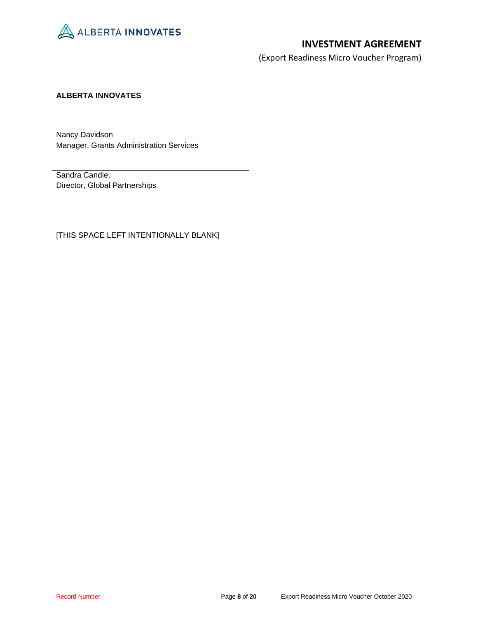

(Export Readiness Micro Voucher Program)

## **ALBERTA INNOVATES**

Nancy Davidson Manager, Grants Administration Services

Sandra Candie, Director, Global Partnerships

[THIS SPACE LEFT INTENTIONALLY BLANK]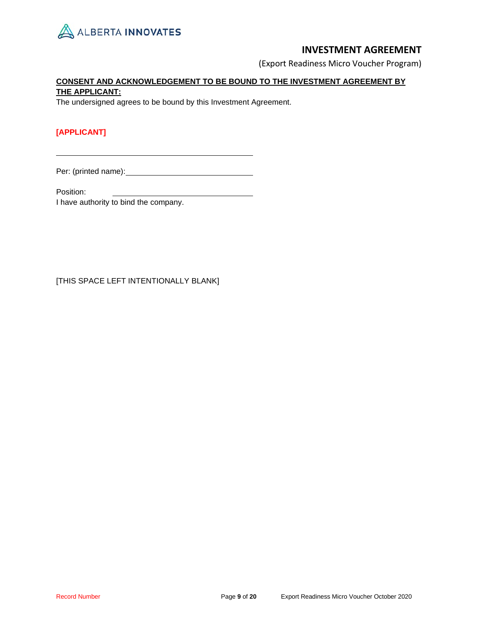

(Export Readiness Micro Voucher Program)

## **CONSENT AND ACKNOWLEDGEMENT TO BE BOUND TO THE INVESTMENT AGREEMENT BY THE APPLICANT:**

The undersigned agrees to be bound by this Investment Agreement.

## **[APPLICANT]**

Per: (printed name): **example 2** 

Position:

I have authority to bind the company.

[THIS SPACE LEFT INTENTIONALLY BLANK]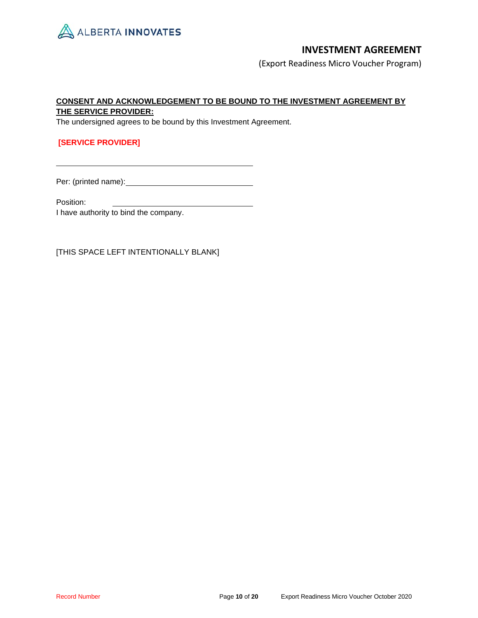

(Export Readiness Micro Voucher Program)

## **CONSENT AND ACKNOWLEDGEMENT TO BE BOUND TO THE INVESTMENT AGREEMENT BY THE SERVICE PROVIDER:**

The undersigned agrees to be bound by this Investment Agreement.

## **[SERVICE PROVIDER]**

Per: (printed name):

Position:

I have authority to bind the company.

[THIS SPACE LEFT INTENTIONALLY BLANK]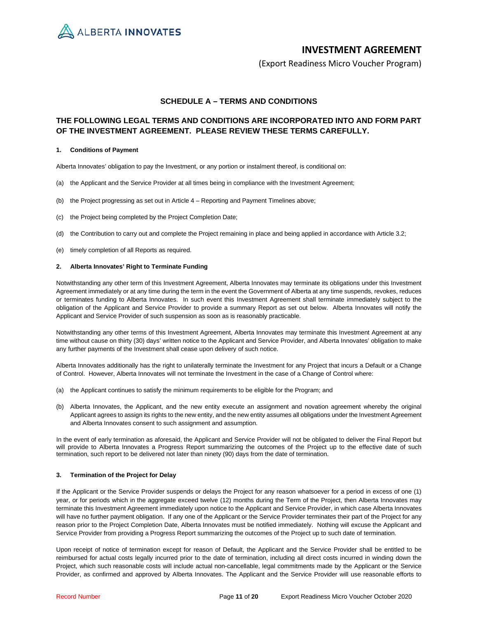ALBERTA INNOVATES

## **INVESTMENT AGREEMENT**

(Export Readiness Micro Voucher Program)

### **SCHEDULE A – TERMS AND CONDITIONS**

## **THE FOLLOWING LEGAL TERMS AND CONDITIONS ARE INCORPORATED INTO AND FORM PART OF THE INVESTMENT AGREEMENT. PLEASE REVIEW THESE TERMS CAREFULLY.**

#### **1. Conditions of Payment**

Alberta Innovates' obligation to pay the Investment, or any portion or instalment thereof, is conditional on:

- (a) the Applicant and the Service Provider at all times being in compliance with the Investment Agreement;
- (b) the Project progressing as set out in Article 4 Reporting and Payment Timelines above;
- (c) the Project being completed by the Project Completion Date;
- (d) the Contribution to carry out and complete the Project remaining in place and being applied in accordance with Article 3.2;
- (e) timely completion of all Reports as required.

#### **2. Alberta Innovates' Right to Terminate Funding**

Notwithstanding any other term of this Investment Agreement, Alberta Innovates may terminate its obligations under this Investment Agreement immediately or at any time during the term in the event the Government of Alberta at any time suspends, revokes, reduces or terminates funding to Alberta Innovates. In such event this Investment Agreement shall terminate immediately subject to the obligation of the Applicant and Service Provider to provide a summary Report as set out below. Alberta Innovates will notify the Applicant and Service Provider of such suspension as soon as is reasonably practicable.

Notwithstanding any other terms of this Investment Agreement, Alberta Innovates may terminate this Investment Agreement at any time without cause on thirty (30) days' written notice to the Applicant and Service Provider, and Alberta Innovates' obligation to make any further payments of the Investment shall cease upon delivery of such notice.

Alberta Innovates additionally has the right to unilaterally terminate the Investment for any Project that incurs a Default or a Change of Control. However, Alberta Innovates will not terminate the Investment in the case of a Change of Control where:

- (a) the Applicant continues to satisfy the minimum requirements to be eligible for the Program; and
- (b) Alberta Innovates, the Applicant, and the new entity execute an assignment and novation agreement whereby the original Applicant agrees to assign its rights to the new entity, and the new entity assumes all obligations under the Investment Agreement and Alberta Innovates consent to such assignment and assumption.

In the event of early termination as aforesaid, the Applicant and Service Provider will not be obligated to deliver the Final Report but will provide to Alberta Innovates a Progress Report summarizing the outcomes of the Project up to the effective date of such termination, such report to be delivered not later than ninety (90) days from the date of termination.

### **3. Termination of the Project for Delay**

If the Applicant or the Service Provider suspends or delays the Project for any reason whatsoever for a period in excess of one (1) year, or for periods which in the aggregate exceed twelve (12) months during the Term of the Project, then Alberta Innovates may terminate this Investment Agreement immediately upon notice to the Applicant and Service Provider, in which case Alberta Innovates will have no further payment obligation. If any one of the Applicant or the Service Provider terminates their part of the Project for any reason prior to the Project Completion Date, Alberta Innovates must be notified immediately. Nothing will excuse the Applicant and Service Provider from providing a Progress Report summarizing the outcomes of the Project up to such date of termination.

Upon receipt of notice of termination except for reason of Default, the Applicant and the Service Provider shall be entitled to be reimbursed for actual costs legally incurred prior to the date of termination, including all direct costs incurred in winding down the Project, which such reasonable costs will include actual non-cancellable, legal commitments made by the Applicant or the Service Provider, as confirmed and approved by Alberta Innovates. The Applicant and the Service Provider will use reasonable efforts to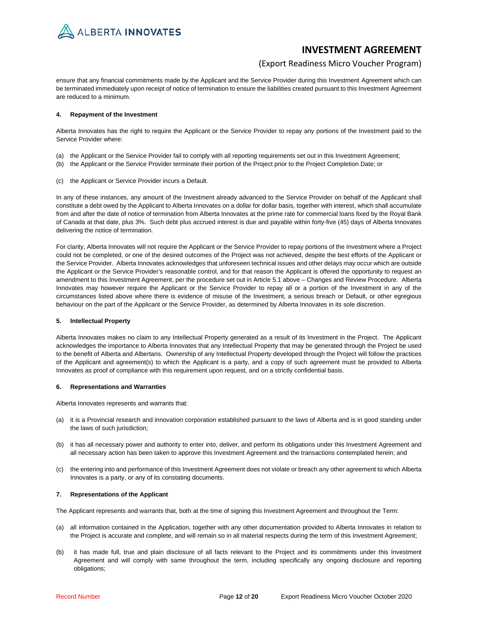

## (Export Readiness Micro Voucher Program)

ensure that any financial commitments made by the Applicant and the Service Provider during this Investment Agreement which can be terminated immediately upon receipt of notice of termination to ensure the liabilities created pursuant to this Investment Agreement are reduced to a minimum.

#### **4. Repayment of the Investment**

Alberta Innovates has the right to require the Applicant or the Service Provider to repay any portions of the Investment paid to the Service Provider where:

- (a) the Applicant or the Service Provider fail to comply with all reporting requirements set out in this Investment Agreement;
- (b) the Applicant or the Service Provider terminate their portion of the Project prior to the Project Completion Date; or
- (c) the Applicant or Service Provider incurs a Default.

In any of these instances, any amount of the Investment already advanced to the Service Provider on behalf of the Applicant shall constitute a debt owed by the Applicant to Alberta Innovates on a dollar for dollar basis, together with interest, which shall accumulate from and after the date of notice of termination from Alberta Innovates at the prime rate for commercial loans fixed by the Royal Bank of Canada at that date, plus 3%. Such debt plus accrued interest is due and payable within forty-five (45) days of Alberta Innovates delivering the notice of termination.

For clarity, Alberta Innovates will not require the Applicant or the Service Provider to repay portions of the Investment where a Project could not be completed, or one of the desired outcomes of the Project was not achieved, despite the best efforts of the Applicant or the Service Provider. Alberta Innovates acknowledges that unforeseen technical issues and other delays may occur which are outside the Applicant or the Service Provider's reasonable control, and for that reason the Applicant is offered the opportunity to request an amendment to this Investment Agreement, per the procedure set out in Article 5.1 above – Changes and Review Procedure. Alberta Innovates may however require the Applicant or the Service Provider to repay all or a portion of the Investment in any of the circumstances listed above where there is evidence of misuse of the Investment, a serious breach or Default, or other egregious behaviour on the part of the Applicant or the Service Provider, as determined by Alberta Innovates in its sole discretion.

### **5. Intellectual Property**

Alberta Innovates makes no claim to any Intellectual Property generated as a result of its Investment in the Project. The Applicant acknowledges the importance to Alberta Innovates that any Intellectual Property that may be generated through the Project be used to the benefit of Alberta and Albertans. Ownership of any Intellectual Property developed through the Project will follow the practices of the Applicant and agreement(s) to which the Applicant is a party, and a copy of such agreement must be provided to Alberta Innovates as proof of compliance with this requirement upon request, and on a strictly confidential basis.

#### **6. Representations and Warranties**

Alberta Innovates represents and warrants that:

- (a) it is a Provincial research and innovation corporation established pursuant to the laws of Alberta and is in good standing under the laws of such jurisdiction;
- (b) it has all necessary power and authority to enter into, deliver, and perform its obligations under this Investment Agreement and all necessary action has been taken to approve this Investment Agreement and the transactions contemplated herein; and
- (c) the entering into and performance of this Investment Agreement does not violate or breach any other agreement to which Alberta Innovates is a party, or any of its constating documents.

### **7. Representations of the Applicant**

The Applicant represents and warrants that, both at the time of signing this Investment Agreement and throughout the Term:

- (a) all information contained in the Application, together with any other documentation provided to Alberta Innovates in relation to the Project is accurate and complete, and will remain so in all material respects during the term of this Investment Agreement;
- (b) it has made full, true and plain disclosure of all facts relevant to the Project and its commitments under this Investment Agreement and will comply with same throughout the term, including specifically any ongoing disclosure and reporting obligations;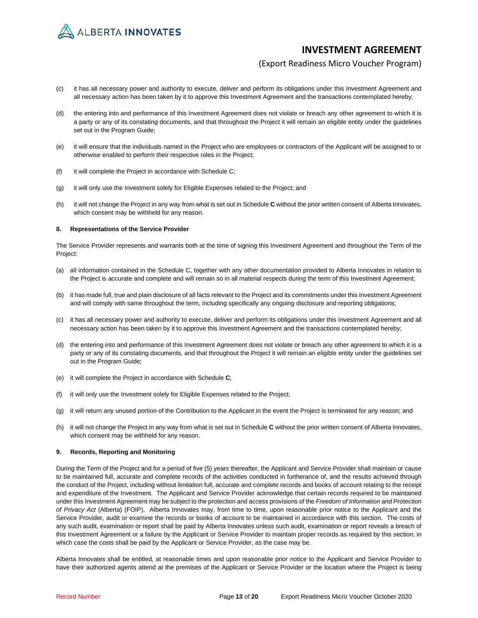

## (Export Readiness Micro Voucher Program)

- (c) it has all necessary power and authority to execute, deliver and perform its obligations under this Investment Agreement and all necessary action has been taken by it to approve this Investment Agreement and the transactions contemplated hereby;
- (d) the entering into and performance of this Investment Agreement does not violate or breach any other agreement to which it is a party or any of its constating documents, and that throughout the Project it will remain an eligible entity under the guidelines set out in the Program Guide;
- (e) it will ensure that the individuals named in the Project who are employees or contractors of the Applicant will be assigned to or otherwise enabled to perform their respective roles in the Project;
- (f) it will complete the Project in accordance with Schedule C;
- (g) it will only use the Investment solely for Eligible Expenses related to the Project; and
- (h) it will not change the Project in any way from what is set out in Schedule **C** without the prior written consent of Alberta Innovates, which consent may be withheld for any reason.

#### **8. Representations of the Service Provider**

The Service Provider represents and warrants both at the time of signing this Investment Agreement and throughout the Term of the Project:

- (a) all information contained in the Schedule C, together with any other documentation provided to Alberta Innovates in relation to the Project is accurate and complete and will remain so in all material respects during the term of this Investment Agreement;
- (b) it has made full, true and plain disclosure of all facts relevant to the Project and its commitments under this Investment Agreement and will comply with same throughout the term, including specifically any ongoing disclosure and reporting obligations;
- (c) it has all necessary power and authority to execute, deliver and perform its obligations under this Investment Agreement and all necessary action has been taken by it to approve this Investment Agreement and the transactions contemplated hereby;
- (d) the entering into and performance of this Investment Agreement does not violate or breach any other agreement to which it is a party or any of its constating documents, and that throughout the Project it will remain an eligible entity under the guidelines set out in the Program Guide;
- (e) it will complete the Project in accordance with Schedule **C**;
- (f) it will only use the Investment solely for Eligible Expenses related to the Project;
- (g) it will return any unused portion of the Contribution to the Applicant in the event the Project is terminated for any reason; and
- (h) it will not change the Project in any way from what is set out in Schedule **C** without the prior written consent of Alberta Innovates, which consent may be withheld for any reason.

#### **9. Records, Reporting and Monitoring**

During the Term of the Project and for a period of five (5) years thereafter, the Applicant and Service Provider shall maintain or cause to be maintained full, accurate and complete records of the activities conducted in furtherance of, and the results achieved through the conduct of the Project, including without limitation full, accurate and complete records and books of account relating to the receipt and expenditure of the Investment. The Applicant and Service Provider acknowledge that certain records required to be maintained under this Investment Agreement may be subject to the protection and access provisions of the *Freedom of Information and Protection of Privacy Act* (Alberta) (FOIP). Alberta Innovates may, from time to time, upon reasonable prior notice to the Applicant and the Service Provider, audit or examine the records or books of account to be maintained in accordance with this section. The costs of any such audit, examination or report shall be paid by Alberta Innovates unless such audit, examination or report reveals a breach of this Investment Agreement or a failure by the Applicant or Service Provider to maintain proper records as required by this section, in which case the costs shall be paid by the Applicant or Service Provider, as the case may be.

Alberta Innovates shall be entitled, at reasonable times and upon reasonable prior notice to the Applicant and Service Provider to have their authorized agents attend at the premises of the Applicant or Service Provider or the location where the Project is being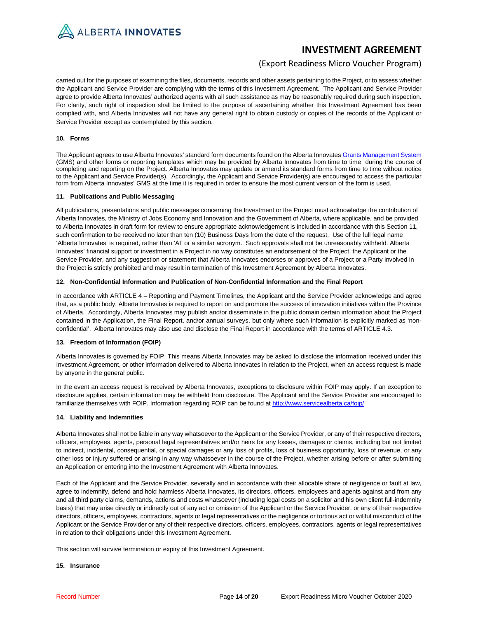

## (Export Readiness Micro Voucher Program)

carried out for the purposes of examining the files, documents, records and other assets pertaining to the Project, or to assess whether the Applicant and Service Provider are complying with the terms of this Investment Agreement. The Applicant and Service Provider agree to provide Alberta Innovates' authorized agents with all such assistance as may be reasonably required during such inspection. For clarity, such right of inspection shall be limited to the purpose of ascertaining whether this Investment Agreement has been complied with, and Alberta Innovates will not have any general right to obtain custody or copies of the records of the Applicant or Service Provider except as contemplated by this section.

#### **10. Forms**

The Applicant agrees to use Alberta Innovates' standard form documents found on the Alberta Innovate[s Grants Management System](https://albertainnovates.smartsimple.ca/s_Login.jsp) (GMS) and other forms or reporting templates which may be provided by Alberta Innovates from time to time during the course of completing and reporting on the Project. Alberta Innovates may update or amend its standard forms from time to time without notice to the Applicant and Service Provider(s). Accordingly, the Applicant and Service Provider(s) are encouraged to access the particular form from Alberta Innovates' GMS at the time it is required in order to ensure the most current version of the form is used.

#### **11. Publications and Public Messaging**

All publications, presentations and public messages concerning the Investment or the Project must acknowledge the contribution of Alberta Innovates, the Ministry of Jobs Economy and Innovation and the Government of Alberta, where applicable, and be provided to Alberta Innovates in draft form for review to ensure appropriate acknowledgement is included in accordance with this Section 11, such confirmation to be received no later than ten (10) Business Days from the date of the request. Use of the full legal name 'Alberta Innovates' is required, rather than 'AI' or a similar acronym. Such approvals shall not be unreasonably withheld. Alberta Innovates' financial support or investment in a Project in no way constitutes an endorsement of the Project, the Applicant or the Service Provider, and any suggestion or statement that Alberta Innovates endorses or approves of a Project or a Party involved in the Project is strictly prohibited and may result in termination of this Investment Agreement by Alberta Innovates.

#### **12. Non-Confidential Information and Publication of Non-Confidential Information and the Final Report**

In accordance with ARTICLE 4 – Reporting and Payment Timelines, the Applicant and the Service Provider acknowledge and agree that, as a public body, Alberta Innovates is required to report on and promote the success of innovation initiatives within the Province of Alberta. Accordingly, Alberta Innovates may publish and/or disseminate in the public domain certain information about the Project contained in the Application, the Final Report, and/or annual surveys, but only where such information is explicitly marked as 'nonconfidential'. Alberta Innovates may also use and disclose the Final Report in accordance with the terms of ARTICLE 4.3.

### **13. Freedom of Information (FOIP)**

Alberta Innovates is governed by FOIP. This means Alberta Innovates may be asked to disclose the information received under this Investment Agreement, or other information delivered to Alberta Innovates in relation to the Project, when an access request is made by anyone in the general public.

In the event an access request is received by Alberta Innovates, exceptions to disclosure within FOIP may apply. If an exception to disclosure applies, certain information may be withheld from disclosure. The Applicant and the Service Provider are encouraged to familiarize themselves with FOIP. Information regarding FOIP can be found at http://www.servicealberta.ca/foip/.

#### **14. Liability and Indemnities**

Alberta Innovates shall not be liable in any way whatsoever to the Applicant or the Service Provider, or any of their respective directors, officers, employees, agents, personal legal representatives and/or heirs for any losses, damages or claims, including but not limited to indirect, incidental, consequential, or special damages or any loss of profits, loss of business opportunity, loss of revenue, or any other loss or injury suffered or arising in any way whatsoever in the course of the Project, whether arising before or after submitting an Application or entering into the Investment Agreement with Alberta Innovates.

Each of the Applicant and the Service Provider, severally and in accordance with their allocable share of negligence or fault at law, agree to indemnify, defend and hold harmless Alberta Innovates, its directors, officers, employees and agents against and from any and all third party claims, demands, actions and costs whatsoever (including legal costs on a solicitor and his own client full-indemnity basis) that may arise directly or indirectly out of any act or omission of the Applicant or the Service Provider, or any of their respective directors, officers, employees, contractors, agents or legal representatives or the negligence or tortious act or willful misconduct of the Applicant or the Service Provider or any of their respective directors, officers, employees, contractors, agents or legal representatives in relation to their obligations under this Investment Agreement.

This section will survive termination or expiry of this Investment Agreement.

#### **15. Insurance**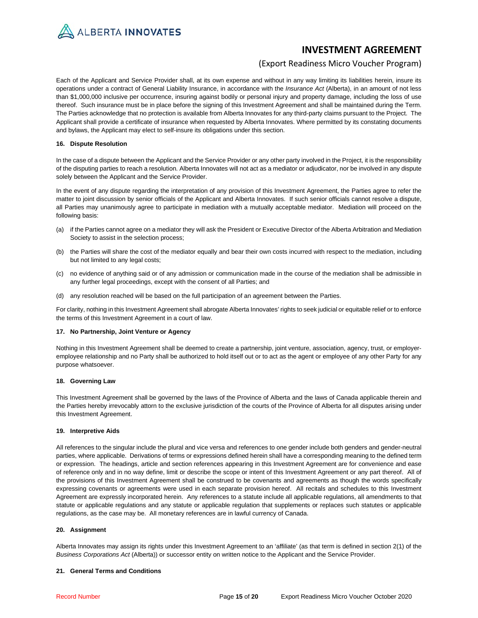

## (Export Readiness Micro Voucher Program)

Each of the Applicant and Service Provider shall, at its own expense and without in any way limiting its liabilities herein, insure its operations under a contract of General Liability Insurance, in accordance with the *Insurance Act* (Alberta), in an amount of not less than \$1,000,000 inclusive per occurrence, insuring against bodily or personal injury and property damage, including the loss of use thereof. Such insurance must be in place before the signing of this Investment Agreement and shall be maintained during the Term. The Parties acknowledge that no protection is available from Alberta Innovates for any third-party claims pursuant to the Project. The Applicant shall provide a certificate of insurance when requested by Alberta Innovates. Where permitted by its constating documents and bylaws, the Applicant may elect to self-insure its obligations under this section.

#### **16. Dispute Resolution**

In the case of a dispute between the Applicant and the Service Provider or any other party involved in the Project, it is the responsibility of the disputing parties to reach a resolution. Alberta Innovates will not act as a mediator or adjudicator, nor be involved in any dispute solely between the Applicant and the Service Provider.

In the event of any dispute regarding the interpretation of any provision of this Investment Agreement, the Parties agree to refer the matter to joint discussion by senior officials of the Applicant and Alberta Innovates. If such senior officials cannot resolve a dispute, all Parties may unanimously agree to participate in mediation with a mutually acceptable mediator. Mediation will proceed on the following basis:

- (a) if the Parties cannot agree on a mediator they will ask the President or Executive Director of the Alberta Arbitration and Mediation Society to assist in the selection process;
- (b) the Parties will share the cost of the mediator equally and bear their own costs incurred with respect to the mediation, including but not limited to any legal costs;
- (c) no evidence of anything said or of any admission or communication made in the course of the mediation shall be admissible in any further legal proceedings, except with the consent of all Parties; and
- (d) any resolution reached will be based on the full participation of an agreement between the Parties.

For clarity, nothing in this Investment Agreement shall abrogate Alberta Innovates' rights to seek judicial or equitable relief or to enforce the terms of this Investment Agreement in a court of law.

#### **17. No Partnership, Joint Venture or Agency**

Nothing in this Investment Agreement shall be deemed to create a partnership, joint venture, association, agency, trust, or employeremployee relationship and no Party shall be authorized to hold itself out or to act as the agent or employee of any other Party for any purpose whatsoever.

### **18. Governing Law**

This Investment Agreement shall be governed by the laws of the Province of Alberta and the laws of Canada applicable therein and the Parties hereby irrevocably attorn to the exclusive jurisdiction of the courts of the Province of Alberta for all disputes arising under this Investment Agreement.

### **19. Interpretive Aids**

All references to the singular include the plural and vice versa and references to one gender include both genders and gender-neutral parties, where applicable. Derivations of terms or expressions defined herein shall have a corresponding meaning to the defined term or expression. The headings, article and section references appearing in this Investment Agreement are for convenience and ease of reference only and in no way define, limit or describe the scope or intent of this Investment Agreement or any part thereof. All of the provisions of this Investment Agreement shall be construed to be covenants and agreements as though the words specifically expressing covenants or agreements were used in each separate provision hereof. All recitals and schedules to this Investment Agreement are expressly incorporated herein. Any references to a statute include all applicable regulations, all amendments to that statute or applicable regulations and any statute or applicable regulation that supplements or replaces such statutes or applicable regulations, as the case may be. All monetary references are in lawful currency of Canada.

#### **20. Assignment**

Alberta Innovates may assign its rights under this Investment Agreement to an 'affiliate' (as that term is defined in section 2(1) of the *Business Corporations Act* (Alberta)) or successor entity on written notice to the Applicant and the Service Provider.

### **21. General Terms and Conditions**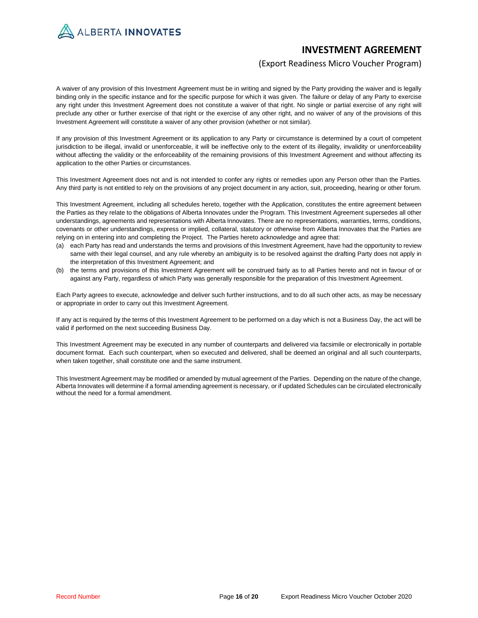ALBERTA INNOVATES

# **INVESTMENT AGREEMENT**

## (Export Readiness Micro Voucher Program)

A waiver of any provision of this Investment Agreement must be in writing and signed by the Party providing the waiver and is legally binding only in the specific instance and for the specific purpose for which it was given. The failure or delay of any Party to exercise any right under this Investment Agreement does not constitute a waiver of that right. No single or partial exercise of any right will preclude any other or further exercise of that right or the exercise of any other right, and no waiver of any of the provisions of this Investment Agreement will constitute a waiver of any other provision (whether or not similar).

If any provision of this Investment Agreement or its application to any Party or circumstance is determined by a court of competent jurisdiction to be illegal, invalid or unenforceable, it will be ineffective only to the extent of its illegality, invalidity or unenforceability without affecting the validity or the enforceability of the remaining provisions of this Investment Agreement and without affecting its application to the other Parties or circumstances.

This Investment Agreement does not and is not intended to confer any rights or remedies upon any Person other than the Parties. Any third party is not entitled to rely on the provisions of any project document in any action, suit, proceeding, hearing or other forum.

This Investment Agreement, including all schedules hereto, together with the Application, constitutes the entire agreement between the Parties as they relate to the obligations of Alberta Innovates under the Program. This Investment Agreement supersedes all other understandings, agreements and representations with Alberta Innovates. There are no representations, warranties, terms, conditions, covenants or other understandings, express or implied, collateral, statutory or otherwise from Alberta Innovates that the Parties are relying on in entering into and completing the Project. The Parties hereto acknowledge and agree that:

- (a) each Party has read and understands the terms and provisions of this Investment Agreement, have had the opportunity to review same with their legal counsel, and any rule whereby an ambiguity is to be resolved against the drafting Party does not apply in the interpretation of this Investment Agreement; and
- (b) the terms and provisions of this Investment Agreement will be construed fairly as to all Parties hereto and not in favour of or against any Party, regardless of which Party was generally responsible for the preparation of this Investment Agreement.

Each Party agrees to execute, acknowledge and deliver such further instructions, and to do all such other acts, as may be necessary or appropriate in order to carry out this Investment Agreement.

If any act is required by the terms of this Investment Agreement to be performed on a day which is not a Business Day, the act will be valid if performed on the next succeeding Business Day.

This Investment Agreement may be executed in any number of counterparts and delivered via facsimile or electronically in portable document format. Each such counterpart, when so executed and delivered, shall be deemed an original and all such counterparts, when taken together, shall constitute one and the same instrument.

This Investment Agreement may be modified or amended by mutual agreement of the Parties. Depending on the nature of the change, Alberta Innovates will determine if a formal amending agreement is necessary, or if updated Schedules can be circulated electronically without the need for a formal amendment.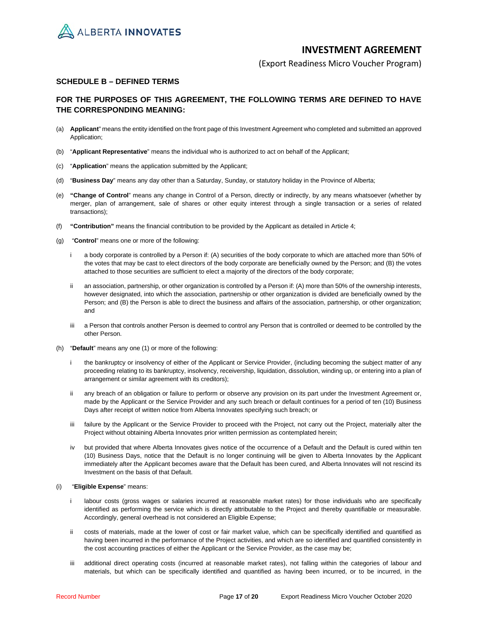

(Export Readiness Micro Voucher Program)

## **SCHEDULE B – DEFINED TERMS**

## **FOR THE PURPOSES OF THIS AGREEMENT, THE FOLLOWING TERMS ARE DEFINED TO HAVE THE CORRESPONDING MEANING:**

- (a) **Applicant**" means the entity identified on the front page of this Investment Agreement who completed and submitted an approved Application;
- (b) "**Applicant Representative**" means the individual who is authorized to act on behalf of the Applicant;
- (c) "**Application**" means the application submitted by the Applicant;
- (d) "**Business Day**" means any day other than a Saturday, Sunday, or statutory holiday in the Province of Alberta;
- (e) **"Change of Control**" means any change in Control of a Person, directly or indirectly, by any means whatsoever (whether by merger, plan of arrangement, sale of shares or other equity interest through a single transaction or a series of related transactions);
- (f) **"Contribution"** means the financial contribution to be provided by the Applicant as detailed in Article 4;
- (g) "**Control**" means one or more of the following:
	- i a body corporate is controlled by a Person if: (A) securities of the body corporate to which are attached more than 50% of the votes that may be cast to elect directors of the body corporate are beneficially owned by the Person; and (B) the votes attached to those securities are sufficient to elect a majority of the directors of the body corporate;
	- an association, partnership, or other organization is controlled by a Person if: (A) more than 50% of the ownership interests, however designated, into which the association, partnership or other organization is divided are beneficially owned by the Person; and (B) the Person is able to direct the business and affairs of the association, partnership, or other organization; and
	- iii a Person that controls another Person is deemed to control any Person that is controlled or deemed to be controlled by the other Person.
- (h) "**Default**" means any one (1) or more of the following:
	- i the bankruptcy or insolvency of either of the Applicant or Service Provider, (including becoming the subject matter of any proceeding relating to its bankruptcy, insolvency, receivership, liquidation, dissolution, winding up, or entering into a plan of arrangement or similar agreement with its creditors);
	- any breach of an obligation or failure to perform or observe any provision on its part under the Investment Agreement or, made by the Applicant or the Service Provider and any such breach or default continues for a period of ten (10) Business Days after receipt of written notice from Alberta Innovates specifying such breach; or
	- iii failure by the Applicant or the Service Provider to proceed with the Project, not carry out the Project, materially alter the Project without obtaining Alberta Innovates prior written permission as contemplated herein;
	- iv but provided that where Alberta Innovates gives notice of the occurrence of a Default and the Default is cured within ten (10) Business Days, notice that the Default is no longer continuing will be given to Alberta Innovates by the Applicant immediately after the Applicant becomes aware that the Default has been cured, and Alberta Innovates will not rescind its Investment on the basis of that Default.

### (i) "**Eligible Expense**" means:

- i labour costs (gross wages or salaries incurred at reasonable market rates) for those individuals who are specifically identified as performing the service which is directly attributable to the Project and thereby quantifiable or measurable. Accordingly, general overhead is not considered an Eligible Expense;
- ii costs of materials, made at the lower of cost or fair market value, which can be specifically identified and quantified as having been incurred in the performance of the Project activities, and which are so identified and quantified consistently in the cost accounting practices of either the Applicant or the Service Provider, as the case may be;
- iii additional direct operating costs (incurred at reasonable market rates), not falling within the categories of labour and materials, but which can be specifically identified and quantified as having been incurred, or to be incurred, in the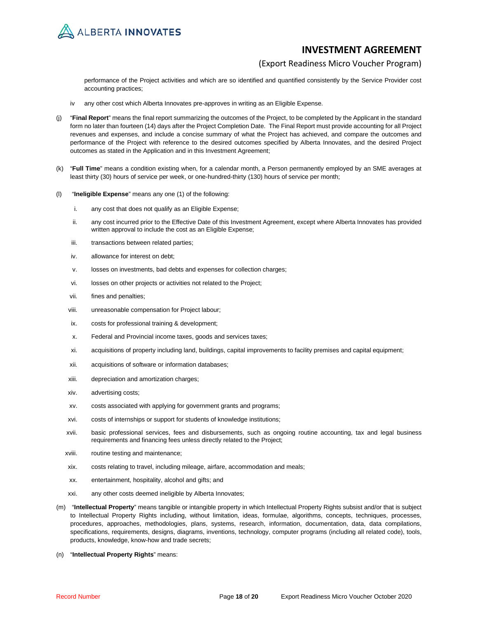

## (Export Readiness Micro Voucher Program)

performance of the Project activities and which are so identified and quantified consistently by the Service Provider cost accounting practices;

- iv any other cost which Alberta Innovates pre-approves in writing as an Eligible Expense.
- (j) "**Final Report**" means the final report summarizing the outcomes of the Project, to be completed by the Applicant in the standard form no later than fourteen (14) days after the Project Completion Date. The Final Report must provide accounting for all Project revenues and expenses, and include a concise summary of what the Project has achieved, and compare the outcomes and performance of the Project with reference to the desired outcomes specified by Alberta Innovates, and the desired Project outcomes as stated in the Application and in this Investment Agreement;
- (k) "**Full Time**" means a condition existing when, for a calendar month, a Person permanently employed by an SME averages at least thirty (30) hours of service per week, or one-hundred-thirty (130) hours of service per month;
- (l) "**Ineligible Expense**" means any one (1) of the following:
	- i. any cost that does not qualify as an Eligible Expense;
	- ii. any cost incurred prior to the Effective Date of this Investment Agreement, except where Alberta Innovates has provided written approval to include the cost as an Eligible Expense;
	- iii. transactions between related parties;
	- iv. allowance for interest on debt;
	- v. losses on investments, bad debts and expenses for collection charges;
	- vi. losses on other projects or activities not related to the Project;
	- vii. fines and penalties;
	- viii. unreasonable compensation for Project labour;
	- ix. costs for professional training & development;
	- x. Federal and Provincial income taxes, goods and services taxes;
	- xi. acquisitions of property including land, buildings, capital improvements to facility premises and capital equipment;
	- xii. acquisitions of software or information databases;
	- xiii. depreciation and amortization charges;
	- xiv. advertising costs;
	- xv. costs associated with applying for government grants and programs;
	- xvi. costs of internships or support for students of knowledge institutions;
	- xvii. basic professional services, fees and disbursements, such as ongoing routine accounting, tax and legal business requirements and financing fees unless directly related to the Project;
	- xviii. routine testing and maintenance;
	- xix. costs relating to travel, including mileage, airfare, accommodation and meals;
	- xx. entertainment, hospitality, alcohol and gifts; and
	- xxi. any other costs deemed ineligible by Alberta Innovates;
- (m) "**Intellectual Property**" means tangible or intangible property in which Intellectual Property Rights subsist and/or that is subject to Intellectual Property Rights including, without limitation, ideas, formulae, algorithms, concepts, techniques, processes, procedures, approaches, methodologies, plans, systems, research, information, documentation, data, data compilations, specifications, requirements, designs, diagrams, inventions, technology, computer programs (including all related code), tools, products, knowledge, know-how and trade secrets;
- (n) "**Intellectual Property Rights**" means: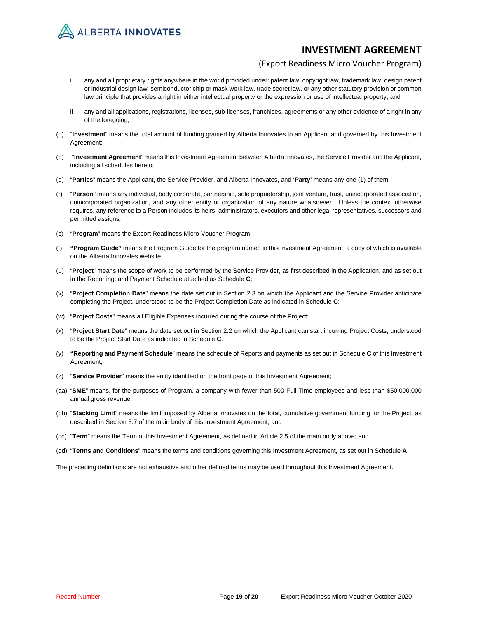

## (Export Readiness Micro Voucher Program)

- i any and all proprietary rights anywhere in the world provided under: patent law, copyright law, trademark law, design patent or industrial design law, semiconductor chip or mask work law, trade secret law, or any other statutory provision or common law principle that provides a right in either intellectual property or the expression or use of intellectual property; and
- ii any and all applications, registrations, licenses, sub-licenses, franchises, agreements or any other evidence of a right in any of the foregoing;
- (o) "**Investment**" means the total amount of funding granted by Alberta Innovates to an Applicant and governed by this Investment Agreement;
- (p) "**Investment Agreement**" means this Investment Agreement between Alberta Innovates, the Service Provider and the Applicant, including all schedules hereto;
- (q) "**Parties**" means the Applicant, the Service Provider, and Alberta Innovates, and '**Party'** means any one (1) of them;
- (r) "**Person**" means any individual, body corporate, partnership, sole proprietorship, joint venture, trust, unincorporated association, unincorporated organization, and any other entity or organization of any nature whatsoever. Unless the context otherwise requires, any reference to a Person includes its heirs, administrators, executors and other legal representatives, successors and permitted assigns;
- (s) "**Program**" means the Export Readiness Micro-Voucher Program;
- (t) **"Program Guide"** means the Program Guide for the program named in this Investment Agreement, a copy of which is available on the Alberta Innovates website.
- (u) "**Project**" means the scope of work to be performed by the Service Provider, as first described in the Application, and as set out in the Reporting, and Payment Schedule attached as Schedule **C**;
- (v) "**Project Completion Date**" means the date set out in Section 2.3 on which the Applicant and the Service Provider anticipate completing the Project, understood to be the Project Completion Date as indicated in Schedule **C**;
- (w) "**Project Costs**" means all Eligible Expenses incurred during the course of the Project;
- (x) "**Project Start Date**" means the date set out in Section 2.2 on which the Applicant can start incurring Project Costs, understood to be the Project Start Date as indicated in Schedule **C**.
- (y) **"Reporting and Payment Schedule**" means the schedule of Reports and payments as set out in Schedule **C** of this Investment Agreement;
- (z) "**Service Provider**" means the entity identified on the front page of this Investment Agreement;
- (aa) "**SME**" means, for the purposes of Program, a company with fewer than 500 Full Time employees and less than \$50,000,000 annual gross revenue;
- (bb) "**Stacking Limit**" means the limit imposed by Alberta Innovates on the total, cumulative government funding for the Project, as described in Section 3.7 of the main body of this Investment Agreement; and
- (cc) "**Term**" means the Term of this Investment Agreement, as defined in Article 2.5 of the main body above; and
- (dd) "**Terms and Conditions**" means the terms and conditions governing this Investment Agreement, as set out in Schedule **A**

The preceding definitions are not exhaustive and other defined terms may be used throughout this Investment Agreement.